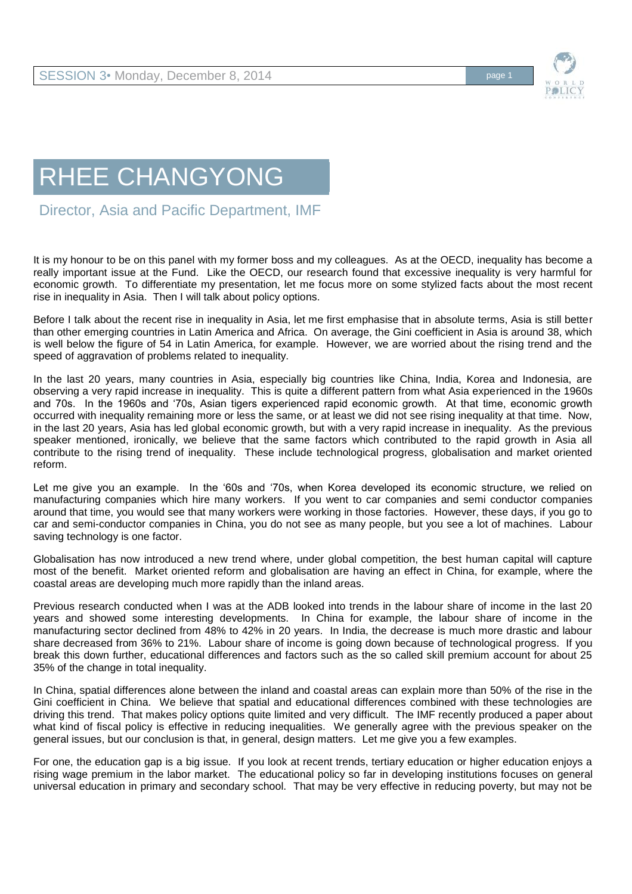

Director, Asia and Pacific Department, IMF

It is my honour to be on this panel with my former boss and my colleagues. As at the OECD, inequality has become a really important issue at the Fund. Like the OECD, our research found that excessive inequality is very harmful for economic growth. To differentiate my presentation, let me focus more on some stylized facts about the most recent rise in inequality in Asia. Then I will talk about policy options.

Before I talk about the recent rise in inequality in Asia, let me first emphasise that in absolute terms, Asia is still better than other emerging countries in Latin America and Africa. On average, the Gini coefficient in Asia is around 38, which is well below the figure of 54 in Latin America, for example. However, we are worried about the rising trend and the speed of aggravation of problems related to inequality.

In the last 20 years, many countries in Asia, especially big countries like China, India, Korea and Indonesia, are observing a very rapid increase in inequality. This is quite a different pattern from what Asia experienced in the 1960s and 70s. In the 1960s and '70s, Asian tigers experienced rapid economic growth. At that time, economic growth occurred with inequality remaining more or less the same, or at least we did not see rising inequality at that time. Now, in the last 20 years, Asia has led global economic growth, but with a very rapid increase in inequality. As the previous speaker mentioned, ironically, we believe that the same factors which contributed to the rapid growth in Asia all contribute to the rising trend of inequality. These include technological progress, globalisation and market oriented reform.

Let me give you an example. In the '60s and '70s, when Korea developed its economic structure, we relied on manufacturing companies which hire many workers. If you went to car companies and semi conductor companies around that time, you would see that many workers were working in those factories. However, these days, if you go to car and semi-conductor companies in China, you do not see as many people, but you see a lot of machines. Labour saving technology is one factor.

Globalisation has now introduced a new trend where, under global competition, the best human capital will capture most of the benefit. Market oriented reform and globalisation are having an effect in China, for example, where the coastal areas are developing much more rapidly than the inland areas.

Previous research conducted when I was at the ADB looked into trends in the labour share of income in the last 20 years and showed some interesting developments. In China for example, the labour share of income in the manufacturing sector declined from 48% to 42% in 20 years. In India, the decrease is much more drastic and labour share decreased from 36% to 21%. Labour share of income is going down because of technological progress. If you break this down further, educational differences and factors such as the so called skill premium account for about 25 35% of the change in total inequality.

In China, spatial differences alone between the inland and coastal areas can explain more than 50% of the rise in the Gini coefficient in China. We believe that spatial and educational differences combined with these technologies are driving this trend. That makes policy options quite limited and very difficult. The IMF recently produced a paper about what kind of fiscal policy is effective in reducing inequalities. We generally agree with the previous speaker on the general issues, but our conclusion is that, in general, design matters. Let me give you a few examples.

For one, the education gap is a big issue. If you look at recent trends, tertiary education or higher education enjoys a rising wage premium in the labor market. The educational policy so far in developing institutions focuses on general universal education in primary and secondary school. That may be very effective in reducing poverty, but may not be